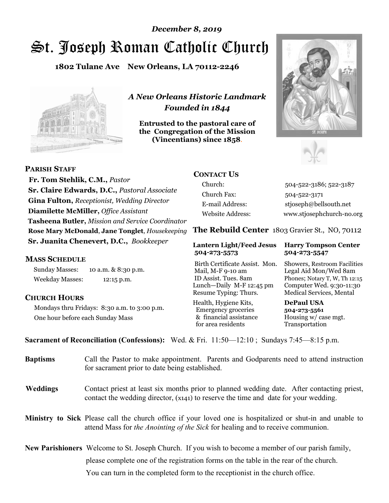# St. Joseph Roman Catholic Church *December 8, 2019*

**1802 Tulane Ave New Orleans, LA 70112-2246**



*A New Orleans Historic Landmark Founded in 1844* 

**Entrusted to the pastoral care of the Congregation of the Mission (Vincentians) since 1858**.





 **Fr. Tom Stehlik, C.M.,** *Pastor* **Sr. Claire Edwards, D.C.,** *Pastoral Associate* **Gina Fulton,** *Receptionist, Wedding Director* **Diamilette McMiller,** *Office Assistant* **Tasheena Butler,** *Mission and Service Coordinator* **Rose Mary McDonald**, **Jane Tonglet**, *Housekeeping* **Sr. Juanita Chenevert, D.C.,** *Bookkeeper* 

#### **MASS SCHEDULE**

**PARISH STAFF**

Sunday Masses: 10 a.m. & 8:30 p.m. Weekday Masses: 12:15 p.m.

#### **CHURCH HOURS**

Mondays thru Fridays: 8:30 a.m. to 3:00 p.m. One hour before each Sunday Mass

# **CONTACT US**

Church: 504-522-3186; 522-3187 Church Fax: 504-522-3171 E-mail Address: stjoseph@bellsouth.net Website Address: www.stjosephchurch-no.org

**The Rebuild Center** 1803 Gravier St., NO, 70112

#### **Lantern Light/Feed Jesus Harry Tompson Center 504-273-5573 504-273-5547**

Birth Certificate Assist. Mon. Showers, Restroom Facilities Mail, M-F 9-10 am Legal Aid Mon/Wed 8am ID Assist. Tues. 8am Phones; Notary T, W, Th 12:15 Lunch—Daily M-F 12:45 pm Computer Wed. 9:30-11:30 Resume Typing: Thurs. Medical Services, Mental

Health, Hygiene Kits, **DePaul USA**  Emergency groceries **504-273-5561** & financial assistance Housing w/ case mgt. for area residents Transportation

**Sacrament of Reconciliation (Confessions):** Wed. & Fri. 11:50—12:10 ; Sundays 7:45—8:15 p.m.

| <b>Baptisms</b> | Call the Pastor to make appointment. Parents and Godparents need to attend instruction<br>for sacrament prior to date being established.                                                            |  |
|-----------------|-----------------------------------------------------------------------------------------------------------------------------------------------------------------------------------------------------|--|
| <b>Weddings</b> | Contact priest at least six months prior to planned wedding date. After contacting priest,<br>contact the wedding director, (x141) to reserve the time and date for your wedding.                   |  |
|                 | <b>Ministry to Sick</b> Please call the church office if your loved one is hospitalized or shut-in and unable to<br>attend Mass for the Anointing of the Sick for healing and to receive communion. |  |
|                 | <b>New Parishioners</b> Welcome to St. Joseph Church. If you wish to become a member of our parish family,                                                                                          |  |
|                 | please complete one of the registration forms on the table in the rear of the church.                                                                                                               |  |
|                 | You can turn in the completed form to the reception is the church office.                                                                                                                           |  |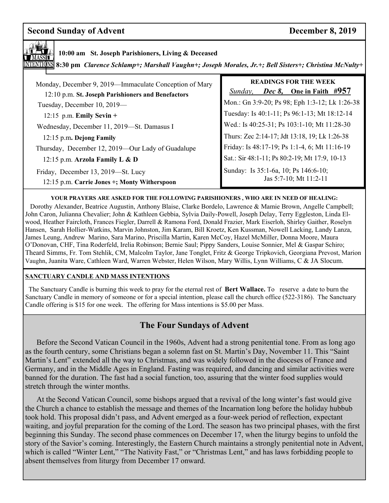# **Second Sunday of Advent December 8, 2019**



**1700 am St. Joseph Parishioners, Living & Deceased MASSIT** 10:00 am St. Joseph Parishioners, Living & Deceased

 **8:30 pm** *Clarence Schlamp+; Marshall Vaughn+; Joseph Morales, Jr.+; Bell Sisters+; Christina McNulty+* 

| Monday, December 9, 2019—Immaculate Conception of Mary<br>12:10 p.m. St. Joseph Parishioners and Benefactors | <b>READINGS FOR THE WEEK</b><br><i>Dec 8</i> , One in Faith #957<br>Sunday, |
|--------------------------------------------------------------------------------------------------------------|-----------------------------------------------------------------------------|
| Tuesday, December 10, 2019-                                                                                  | Mon.: Gn 3:9-20; Ps 98; Eph 1:3-12; Lk 1:26-38                              |
| 12:15 p.m. Emily Sevin $+$                                                                                   | Tuesday: Is 40:1-11; Ps 96:1-13; Mt 18:12-14                                |
| Wednesday, December 11, 2019-St. Damasus I                                                                   | Wed.: Is 40:25-31; Ps 103:1-10; Mt 11:28-30                                 |
| 12:15 p.m. Dejong Family                                                                                     | Thurs: Zec 2:14-17; Jdt 13:18, 19; Lk 1:26-38                               |
| Thursday, December 12, 2019—Our Lady of Guadalupe                                                            | Friday: Is 48:17-19; Ps 1:1-4, 6; Mt 11:16-19                               |
| 12:15 p.m. Arzola Family L & D                                                                               | Sat.: Sir 48:1-11; Ps 80:2-19; Mt 17:9, 10-13                               |
| Friday, December 13, 2019—St. Lucy<br>12:15 p.m. Carrie Jones +; Monty Witherspoon                           | Sunday: Is 35:1-6a, 10; Ps 146:6-10;<br>Jas 5:7-10; Mt 11:2-11              |

#### **YOUR PRAYERS ARE ASKED FOR THE FOLLOWING PARISHIONERS , WHO ARE IN NEED OF HEALING:**

 Dorothy Alexander, Beatrice Augustin, Anthony Blaise, Clarke Bordelo, Lawrence & Mamie Brown, Angelle Campbell; John Caron, Julianna Chevalier; John & Kathleen Gebbia, Sylvia Daily-Powell, Joseph Delay, Terry Eggleston, Linda Elwood, Heather Faircloth, Frances Fiegler, Darrell & Ramona Ford, Donald Frazier, Mark Eiserloh, Shirley Gaither, Roselyn Hansen, Sarah Hollier-Watkins, Marvin Johnston, Jim Karam, Bill Kroetz, Ken Kussman, Nowell Lacking, Landy Lanza, James Leung, Andrew Marino, Sara Marino, Priscilla Martin, Karen McCoy, Hazel McMiller, Donna Moore, Maura O'Donovan, CHF, Tina Roderfeld, Irelia Robinson; Bernie Saul; Pippy Sanders, Louise Sonnier, Mel & Gaspar Schiro; Theard Simms, Fr. Tom Stehlik, CM, Malcolm Taylor, Jane Tonglet, Fritz & George Tripkovich, Georgiana Prevost, Marion Vaughn, Juanita Ware, Cathleen Ward, Warren Webster, Helen Wilson, Mary Willis, Lynn Williams, C & JA Slocum.

#### **SANCTUARY CANDLE AND MASS INTENTIONS**

 The Sanctuary Candle is burning this week to pray for the eternal rest of **Bert Wallace.** To reserve a date to burn the Sanctuary Candle in memory of someone or for a special intention, please call the church office (522-3186). The Sanctuary Candle offering is \$15 for one week. The offering for Mass intentions is \$5.00 per Mass.

# **The Four Sundays of Advent**

 Before the Second Vatican Council in the 1960s, Advent had a strong penitential tone. From as long ago as the fourth century, some Christians began a solemn fast on St. Martin's Day, November 11. This "Saint Martin's Lent" extended all the way to Christmas, and was widely followed in the dioceses of France and Germany, and in the Middle Ages in England. Fasting was required, and dancing and similar activities were banned for the duration. The fast had a social function, too, assuring that the winter food supplies would stretch through the winter months.

 At the Second Vatican Council, some bishops argued that a revival of the long winter's fast would give the Church a chance to establish the message and themes of the Incarnation long before the holiday hubbub took hold. This proposal didn't pass, and Advent emerged as a four-week period of reflection, expectant waiting, and joyful preparation for the coming of the Lord. The season has two principal phases, with the first beginning this Sunday. The second phase commences on December 17, when the liturgy begins to unfold the story of the Savior's coming. Interestingly, the Eastern Church maintains a strongly penitential note in Advent, which is called "Winter Lent," "The Nativity Fast," or "Christmas Lent," and has laws forbidding people to absent themselves from liturgy from December 17 onward.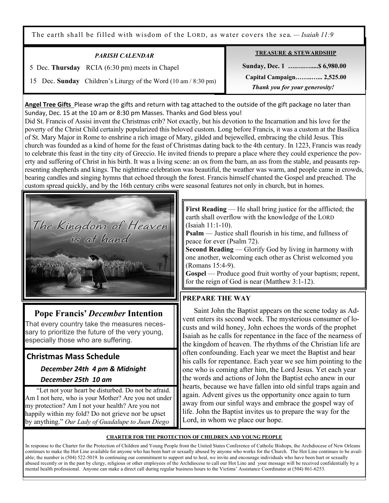The earth shall be filled with wisdom of the LORD, as water covers the sea. *— Isaiah 11:9*

| <b>PARISH CALENDAR</b>                                          | <b>TREASURE &amp; STEWARDSHIP</b>                           |
|-----------------------------------------------------------------|-------------------------------------------------------------|
| 5 Dec. Thursday RCIA (6:30 pm) meets in Chapel                  | Sunday, Dec. 1  \$6,980.00                                  |
| 15 Dec. Sunday Children's Liturgy of the Word (10 am / 8:30 pm) | Capital Campaign 2,525.00<br>Thank you for your generosity! |

**Angel Tree Gifts** Please wrap the gifts and return with tag attached to the outside of the gift package no later than Sunday, Dec. 15 at the 10 am or 8:30 pm Masses. Thanks and God bless you!

Did St. Francis of Assisi invent the Christmas crib? Not exactly, but his devotion to the Incarnation and his love for the poverty of the Christ Child certainly popularized this beloved custom. Long before Francis, it was a custom at the Basilica of St. Mary Major in Rome to enshrine a rich image of Mary, gilded and bejewelled, embracing the child Jesus. This church was founded as a kind of home for the feast of Christmas dating back to the 4th century. In 1223, Francis was ready to celebrate this feast in the tiny city of Greccio. He invited friends to prepare a place where they could experience the poverty and suffering of Christ in his birth. It was a living scene: an ox from the barn, an ass from the stable, and peasants representing shepherds and kings. The nighttime celebration was beautiful, the weather was warm, and people came in crowds, bearing candles and singing hymns that echoed through the forest. Francis himself chanted the Gospel and preached. The custom spread quickly, and by the 16th century cribs were seasonal features not only in church, but in homes.



# **Pope Francis'** *December* **Intention**

That every country take the measures necessary to prioritize the future of the very young, especially those who are suffering.

## **Christmas Mass Schedule**

# *December 24th 4 pm & Midnight December 25th 10 am*

"Let not your heart be disturbed. Do not be afraid. Am I not here, who is your Mother? Are you not under my protection? Am I not your health? Are you not happily within my fold? Do not grieve nor be upset by anything." *Our Lady of Guadalupe to Juan Diego*

**First Reading** — He shall bring justice for the afflicted; the earth shall overflow with the knowledge of the LORD (Isaiah 11:1-10).

**Psalm** — Justice shall flourish in his time, and fullness of peace for ever (Psalm 72).

**Second Reading** — Glorify God by living in harmony with one another, welcoming each other as Christ welcomed you (Romans 15:4-9).

**Gospel** — Produce good fruit worthy of your baptism; repent, for the reign of God is near (Matthew 3:1-12).

### **PREPARE THE WAY**

 Saint John the Baptist appears on the scene today as Advent enters its second week. The mysterious consumer of locusts and wild honey, John echoes the words of the prophet Isaiah as he calls for repentance in the face of the nearness of the kingdom of heaven. The rhythms of the Christian life are often confounding. Each year we meet the Baptist and hear his calls for repentance. Each year we see him pointing to the one who is coming after him, the Lord Jesus. Yet each year the words and actions of John the Baptist echo anew in our hearts, because we have fallen into old sinful traps again and again. Advent gives us the opportunity once again to turn away from our sinful ways and embrace the gospel way of life. John the Baptist invites us to prepare the way for the Lord, in whom we place our hope.

#### **CHARTER FOR THE PROTECTION OF CHILDREN AND YOUNG PEOPLE**

In response to the Charter for the Protection of Children and Young People from the United States Conference of Catholic Bishops, the Archdiocese of New Orleans continues to make the Hot Line available for anyone who has been hurt or sexually abused by anyone who works for the Church. The Hot Line continues to be available; the number is (504) 522-5019. In continuing our commitment to support and to heal, we invite and encourage individuals who have been hurt or sexually abused recently or in the past by clergy, religious or other employees of the Archdiocese to call our Hot Line and your message will be received confidentially by a mental health professional. Anyone can make a direct call during regular business hours to the Victims' Assistance Coordinator at (504) 861-6253.